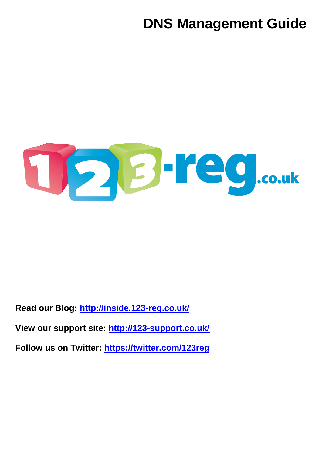# **DNS Management Guide**



**Read our Blog:<http://inside.123-reg.co.uk/>**

**View our support site: <http://123-support.co.uk/>**

**Follow us on Twitter: <https://twitter.com/123reg>**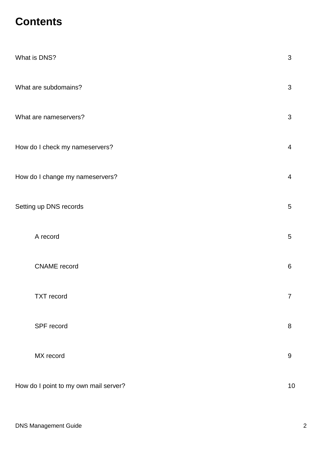## **Contents**

| What is DNS?                          | 3              |
|---------------------------------------|----------------|
| What are subdomains?                  | 3              |
| What are nameservers?                 | 3              |
| How do I check my nameservers?        | $\overline{4}$ |
| How do I change my nameservers?       | $\overline{4}$ |
| Setting up DNS records                | 5              |
| A record                              | 5              |
| <b>CNAME</b> record                   | 6              |
| <b>TXT</b> record                     | 7              |
| SPF record                            | 8              |
| MX record                             | 9              |
| How do I point to my own mail server? | $10$           |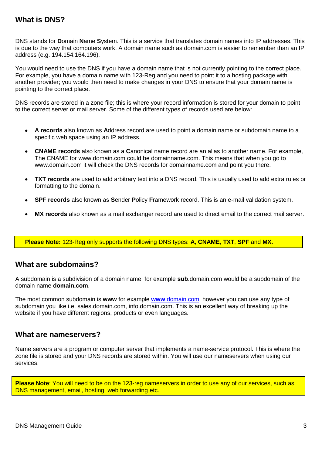## **What is DNS?**

DNS stands for **D**omain **N**ame **S**ystem. This is a service that translates domain names into IP addresses. This is due to the way that computers work. A domain name such as domain.com is easier to remember than an IP address (e.g. 194.154.164.196).

You would need to use the DNS if you have a domain name that is not currently pointing to the correct place. For example, you have a domain name with 123-Reg and you need to point it to a hosting package with another provider; you would then need to make changes in your DNS to ensure that your domain name is pointing to the correct place.

DNS records are stored in a zone file; this is where your record information is stored for your domain to point to the correct server or mail server. Some of the different types of records used are below:

- **A records** also known as **A**ddress record are used to point a domain name or subdomain name to a specific web space using an IP address.
- **CNAME records** also known as a **C**anonical name record are an alias to another name. For example, The CNAME for www.domain.com could be domainname.com. This means that when you go to www.domain.com it will check the DNS records for domainname.com and point you there.
- **TXT records** are used to add arbitrary text into a DNS record. This is usually used to add extra rules or  $\bullet$ formatting to the domain.
- **SPF records** also known as **S**ender **P**olicy **F**ramework record. This is an e-mail validation system.
- **MX records** also known as a mail exchanger record are used to direct email to the correct mail server.

**Please Note:** 123-Reg only supports the following DNS types: **A**, **CNAME**, **TXT**, **SPF** and **MX.**

### **What are subdomains?**

A subdomain is a subdivision of a domain name, for example **sub**.domain.com would be a subdomain of the domain name **domain.com**.

The most common subdomain is **www** for example **www**[.domain.com,](http://www.domain.com/) however you can use any type of subdomain you like i.e. sales.domain.com, info.domain.com. This is an excellent way of breaking up the website if you have different regions, products or even languages.

#### **What are nameservers?**

Name servers are a program or computer server that implements a name-service protocol. This is where the zone file is stored and your DNS records are stored within. You will use our nameservers when using our services.

**Please Note**: You will need to be on the 123-reg nameservers in order to use any of our services, such as: DNS management, email, hosting, web forwarding etc.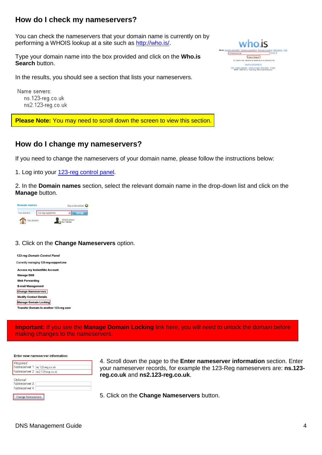## **How do I check my nameservers?**

You can check the nameservers that your domain name is currently on by performing a WHOIS lookup at a site such as [http://who.is/.](http://who.is/)

Type your domain name into the box provided and click on the **Who.is Search** button.

In the results, you should see a section that lists your nameservers.

Name servers: ns.123-reg.co.uk ns2.123-reg.co.uk

**Please Note:** You may need to scroll down the screen to view this section.

## **How do I change my nameservers?**

If you need to change the nameservers of your domain name, please follow the instructions below:

1. Log into your [123-reg control panel.](https://www.123-reg.co.uk/secure/)

2. In the **Domain names** section, select the relevant domain name in the drop-down list and click on the **Manage** button.

**Domain names** Buy a new domain C 123-reg-support.me Your domains:  $\sim$ WHOIS privacy View domains

#### 3. Click on the **Change Nameservers** option.

| 123-rea Domain Control Panel            |
|-----------------------------------------|
| Currently managing 123-reg-support.me   |
| <b>Access my InstantSite Account</b>    |
| <b>Manage DNS</b>                       |
| Web Forwarding                          |
| <b>E-mail Management</b>                |
| <b>Change Nameservers</b>               |
| <b>Modify Contact Details</b>           |
| Manage Domain Locking                   |
| Transfer Domain to another 123-reg user |

**Important:** If you see the **Manage Domain Locking** link here, you will need to unlock the domain before making changes to the nameservers.

#### Enter new nameserver information:

| Required<br>Nameserver 1: ns.123-reg.co.uk<br>Nameserver 2: ns2.123-reg.co.uk |  |
|-------------------------------------------------------------------------------|--|
| Optional:<br>Nameserver 3:<br>Nameserver 4:                                   |  |
| Change Nameservers                                                            |  |

4. Scroll down the page to the **Enter nameserver information** section. Enter your nameserver records, for example the 123-Reg nameservers are: **ns.123 reg.co.uk** and **ns2.123-reg.co.uk**.

5. Click on the **Change Nameservers** button.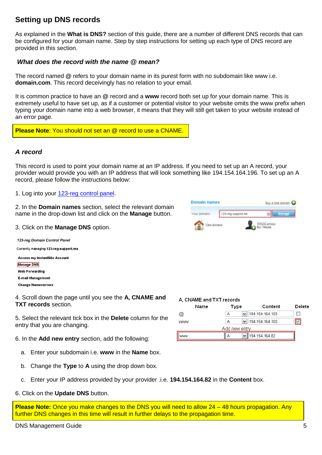## **Setting up DNS records**

As explained in the **What is DNS?** section of this guide, there are a number of different DNS records that can be configured for your domain name. Step by step instructions for setting up each type of DNS record are provided in this section.

#### *What does the record with the name @ mean?*

The record named **@** refers to your domain name in its purest form with no subdomain like www i.e. **domain.com**. This record deceivingly has no relation to your email.

It is common practice to have an **@** record and a **www** record both set up for your domain name. This is extremely useful to have set up, as if a customer or potential visitor to your website omits the www prefix when typing your domain name into a web browser, it means that they will still get taken to your website instead of an error page.

**Please Note**: You should not set an @ record to use a CNAME.

#### *A record*

This record is used to point your domain name at an IP address. If you need to set up an A record, your provider would provide you with an IP address that will look something like 194.154.164.196. To set up an A record, please follow the instructions below:

1. Log into your [123-reg control panel.](https://www.123-reg.co.uk/secure/)

2. In the **Domain names** section, select the relevant domain name in the drop-down list and click on the **Manage** button.



3. Click on the **Manage DNS** option.

123-rea Domain Control Panel Currently managing 123-reg-support.me **Access my InstantSite Account Manage DNS Web Forwarding E-mail Management Change Nameservers** 

4. Scroll down the page until you see the **A, CNAME and TXT records** section.

5. Select the relevant tick box in the **Delete** column for the entry that you are changing.

6. In the **Add new entry** section, add the following:

- a. Enter your subdomain i.e. **www** in the **Name** box.
- b. Change the **Type** to **A** using the drop down box.
- c. Enter your IP address provided by your provider .i.e. **194.154.164.82** in the **Content** box.
- 6. Click on the **Update DNS** button.

**Please Note:** Once you make changes to the DNS you will need to allow 24 – 48 hours propagation. Any further DNS changes in this time will result in further delays to the propagation time.

| A, CNAME and TXT records |      |                           |        |  |
|--------------------------|------|---------------------------|--------|--|
| Name                     | Type | Content                   | Delete |  |
| Ø.                       | А    | 194.154.164.103<br>v      |        |  |
| <b>WWW</b>               | А    | 194.154.164.103<br>$\vee$ |        |  |
| Add new entry            |      |                           |        |  |
| www                      | А    | 194.154.164.82            |        |  |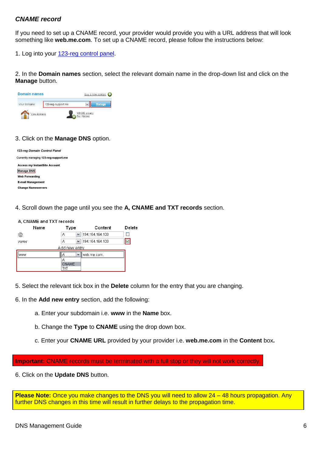#### *CNAME record*

If you need to set up a CNAME record, your provider would provide you with a URL address that will look something like **web.me.com**. To set up a CNAME record, please follow the instructions below:

1. Log into your [123-reg control panel.](https://www.123-reg.co.uk/secure/)

2. In the **Domain names** section, select the relevant domain name in the drop-down list and click on the **Manage** button.

| <b>Domain names</b> |                    | Buy a new domain (            |
|---------------------|--------------------|-------------------------------|
| Your domains:       | 123-reg-support.me | $\checkmark$<br>Manage        |
| View domains        |                    | WHOIS privacy<br>Buy   Manage |

#### 3. Click on the **Manage DNS** option.

| 123-rea Domain Control Panel          |
|---------------------------------------|
| Currently managing 123-reg-support.me |
| <b>Access my InstantSite Account</b>  |
| Manage DNS                            |
| <b>Web Forwarding</b>                 |
| <b>E-mail Management</b>              |
| <b>Change Nameservers</b>             |
|                                       |

4. Scroll down the page until you see the **A, CNAME and TXT records** section.

| A, CNAME and TXT records |                            |                 |        |
|--------------------------|----------------------------|-----------------|--------|
| Name                     | Type                       | Content         | Delete |
| @                        | А<br>v                     | 194.154.164.103 |        |
| <b>WWW</b>               | v<br>А                     | 194.154.164.103 | ٧      |
|                          | Add new entry              |                 |        |
| www                      | <br>$\checkmark$<br>д<br>\ | web.me.com.     |        |
|                          | А<br>CNAME                 |                 |        |
|                          | тхт                        |                 |        |

5. Select the relevant tick box in the **Delete** column for the entry that you are changing.

6. In the **Add new entry** section, add the following:

- a. Enter your subdomain i.e. **www** in the **Name** box.
- b. Change the **Type** to **CNAME** using the drop down box.
- c. Enter your **CNAME URL** provided by your provider i.e. **web.me.com** in the **Content** box**.**

**Important:** CNAME records must be terminated with a full stop or they will not work correctly.

6. Click on the **Update DNS** button.

**Please Note:** Once you make changes to the DNS you will need to allow 24 – 48 hours propagation. Any further DNS changes in this time will result in further delays to the propagation time.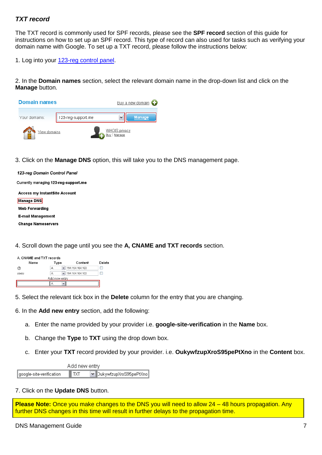#### *TXT record*

The TXT record is commonly used for SPF records, please see the **SPF record** section of this guide for instructions on how to set up an SPF record. This type of record can also used for tasks such as verifying your domain name with Google. To set up a TXT record, please follow the instructions below:

1. Log into your [123-reg control panel.](https://www.123-reg.co.uk/secure/)

2. In the **Domain names** section, select the relevant domain name in the drop-down list and click on the **Manage** button.



3. Click on the **Manage DNS** option, this will take you to the DNS management page.

| 123-reg Domain Control Panel          |
|---------------------------------------|
| Currently managing 123-reg-support.me |
| Access my InstantSite Account         |
| Manage DNS                            |
| Web Forwarding                        |
| E-mail Management                     |
| <b>Change Nameservers</b>             |
|                                       |

4. Scroll down the page until you see the **A, CNAME and TXT records** section.

| A, CNAME and TXT records |                   |                 |        |  |  |  |
|--------------------------|-------------------|-----------------|--------|--|--|--|
| Name                     | Type              | Content         | Delete |  |  |  |
| @                        | $\checkmark$<br>Α | 194.154.164.103 |        |  |  |  |
| www                      | v<br>А            | 194.154.164.103 |        |  |  |  |
| Add new entry            |                   |                 |        |  |  |  |
|                          | v<br>А            |                 |        |  |  |  |

- 5. Select the relevant tick box in the **Delete** column for the entry that you are changing.
- 6. In the **Add new entry** section, add the following:
	- a. Enter the name provided by your provider i.e. **google-site-verification** in the **Name** box.
	- b. Change the **Type** to **TXT** using the drop down box.
	- c. Enter your **TXT** record provided by your provider. i.e. **OukywfzupXroS95pePtXno** in the **Content** box.

| Add new entry            |                |                        |  |  |
|--------------------------|----------------|------------------------|--|--|
| google-site-verification | $\blacksquare$ | DukywfzupXroS95pePtXno |  |  |

7. Click on the **Update DNS** button.

**Please Note:** Once you make changes to the DNS you will need to allow 24 – 48 hours propagation. Any further DNS changes in this time will result in further delays to the propagation time.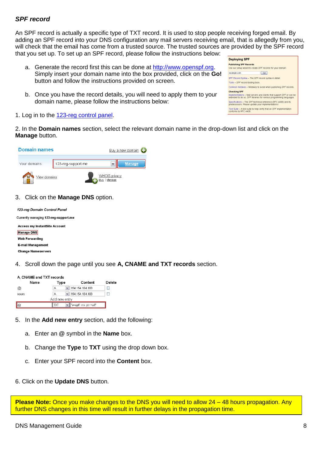#### *SPF record*

An SPF record is actually a specific type of TXT record. It is used to stop people receiving forged email. By adding an SPF record into your DNS configuration any mail servers receiving email, that is allegedly from you, will check that the email has come from a trusted source. The trusted sources are provided by the SPF record that you set up. To set up an SPF record, please follow the instructions below:

- a. Generate the record first this can be done at [http://www.openspf.org.](http://www.openspf.org/) Simply insert your domain name into the box provided, click on the **Go!** button and follow the instructions provided on screen.
- b. Once you have the record details, you will need to apply them to your domain name, please follow the instructions below:

**Deploying SPF Publishing SPF Records** Use our setup wizard to create SPF records for your domain example.com  $\sqrt{60}$ SPF Record Syntax - The SPF record syntax in detail Tools - SPF record testing tools. Common mistakes - Mistakes to avoid when publishing SPF records **Checking SPF** Implementations - Mail servers and clients that support SPF or can be<br>extended to do so. SPF libraries for various programming languages. Specifications - The SPF technical reference (RFC 4408) and its<br>predecessors. Please update your implementations! Test Suite - A test suite to help verify that an SPF implementation conforms to RFC 4408.

1. Log in to the [123-reg control panel.](https://www.123-reg.co.uk/secure/)

2. In the **Domain names** section, select the relevant domain name in the drop-down list and click on the **Manage** button.



#### 3. Click on the **Manage DNS** option.

| 123-reg Domain Control Panel          |
|---------------------------------------|
| Currently managing 123-reg-support.me |
| Access my InstantSite Account         |
| Manage DNS                            |
| <b>Web Forwarding</b>                 |
| E-mail Management                     |
| <b>Change Nameservers</b>             |
|                                       |

4. Scroll down the page until you see **A, CNAME and TXT records** section.

| A. CNAME and TXT records |      |  |                      |        |  |
|--------------------------|------|--|----------------------|--------|--|
| Name                     | Type |  | Content              | Delete |  |
| @                        | А    |  | 194.154.164.103      |        |  |
| WWW                      | А    |  | 194.154.164.103      |        |  |
| Add new entrv            |      |  |                      |        |  |
| 1@                       | TXT  |  | "v=spf1 mx ptr ~all" |        |  |

- 5. In the **Add new entry** section, add the following:
	- a. Enter an **@** symbol in the **Name** box.
	- b. Change the **Type** to **TXT** using the drop down box.
	- c. Enter your SPF record into the **Content** box.
- 6. Click on the **Update DNS** button.

**Please Note:** Once you make changes to the DNS you will need to allow 24 – 48 hours propagation. Any further DNS changes in this time will result in further delays in the propagation time.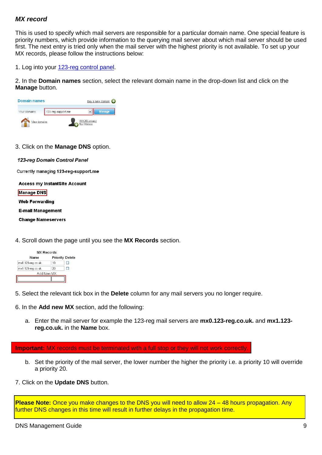#### *MX record*

This is used to specify which mail servers are responsible for a particular domain name. One special feature is priority numbers, which provide information to the querying mail server about which mail server should be used first. The next entry is tried only when the mail server with the highest priority is not available. To set up your MX records, please follow the instructions below:

1. Log into your [123-reg control panel.](https://www.123-reg.co.uk/secure/)

2. In the **Domain names** section, select the relevant domain name in the drop-down list and click on the **Manage** button.

| <b>Domain names</b>           |                    |  | Buy a new domain $\bigcirc$ |  |
|-------------------------------|--------------------|--|-----------------------------|--|
| Your domains:                 | 123-reg-support.me |  | <b>Manage</b>               |  |
| WHOIS privacy<br>View domains |                    |  |                             |  |

3. Click on the **Manage DNS** option.

123-reg Domain Control Panel

Currently managing 123-reg-support.me

**Access my InstantSite Account** 

**Manage DNS** 

**Web Forwarding** 

**E-mail Management** 

**Change Nameservers** 

4. Scroll down the page until you see the **MX Records** section.

| <b>MX Records</b> |                 |  |  |  |
|-------------------|-----------------|--|--|--|
|                   | Priority Deleto |  |  |  |
| 10                |                 |  |  |  |
| 20                |                 |  |  |  |
| Add New MX        |                 |  |  |  |
|                   |                 |  |  |  |
|                   |                 |  |  |  |

5. Select the relevant tick box in the **Delete** column for any mail servers you no longer require.

6. In the **Add new MX** section, add the following:

a. Enter the mail server for example the 123-reg mail servers are **mx0.123-reg.co.uk.** and **mx1.123 reg.co.uk.** in the **Name** box.

**Important:** MX records must be terminated with a full stop or they will not work correctly.

- b. Set the priority of the mail server, the lower number the higher the priority i.e. a priority 10 will override a priority 20.
- 7. Click on the **Update DNS** button.

**Please Note:** Once you make changes to the DNS you will need to allow 24 – 48 hours propagation. Any further DNS changes in this time will result in further delays in the propagation time.